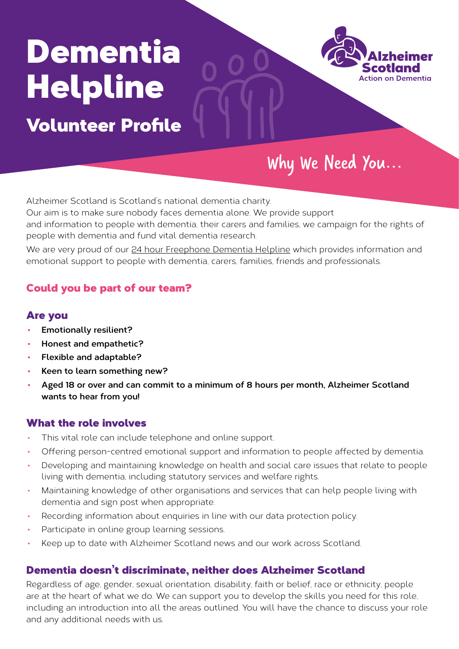# Dementia Helpline

Volunteer Profile

# Why We Need You...

**Action on Dementia** 

Alzheimer Scotland is Scotland's national dementia charity.

Our aim is to make sure nobody faces dementia alone. We provide support

and information to people with dementia, their carers and families, we campaign for the rights of people with dementia and fund vital dementia research.

We are very proud of our [24 hour Freephone Dementia Helpline](https://www.alzscot.org/living-with-dementia/getting-support/24-hour-freephone-dementia-helpline) which provides information and emotional support to people with dementia, carers, families, friends and professionals.

# Could you be part of our team?

#### Are you

- **• Emotionally resilient?**
- **• Honest and empathetic?**
- **• Flexible and adaptable?**
- **• Keen to learn something new?**
- **• Aged 18 or over and can commit to a minimum of 8 hours per month, Alzheimer Scotland wants to hear from you!**

### What the role involves

- This vital role can include telephone and online support.
- Offering person-centred emotional support and information to people affected by dementia.
- Developing and maintaining knowledge on health and social care issues that relate to people living with dementia, including statutory services and welfare rights.
- Maintaining knowledge of other organisations and services that can help people living with dementia and sign post when appropriate.
- Recording information about enquiries in line with our data protection policy.
- Participate in online group learning sessions.
- Keep up to date with Alzheimer Scotland news and our work across Scotland.

### Dementia doesn't discriminate, neither does Alzheimer Scotland

Regardless of age, gender, sexual orientation, disability, faith or belief, race or ethnicity, people are at the heart of what we do. We can support you to develop the skills you need for this role, including an introduction into all the areas outlined. You will have the chance to discuss your role and any additional needs with us.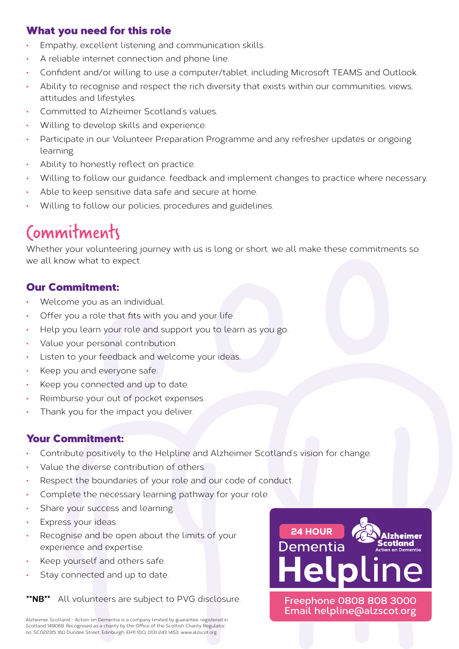# What you need for this role

- Empathy, excellent listening and communication skills.
- A reliable internet connection and phone line.
- Confident and/or willing to use a computer/tablet, including Microsoft TEAMS and Outlook.
- Ability to recognise and respect the rich diversity that exists within our communities, views, attitudes and lifestyles.
- Committed to Alzheimer Scotland's values.
- Willing to develop skills and experience.
- Participate in our Volunteer Preparation Programme and any refresher updates or ongoing learning.
- Ability to honestly reflect on practice.
- Willing to follow our guidance, feedback and implement changes to practice where necessary.
- Able to keep sensitive data safe and secure at home.
- Willing to follow our policies, procedures and guidelines.

# Commitments

Whether your volunteering journey with us is long or short, we all make these commitments so we all know what to expect.

# Our Commitment:

- Welcome you as an individual.
- Offer you a role that fits with you and your life.
- Help you learn your role and support you to learn as you go.
- Value your personal contribution.
- Listen to your feedback and welcome your ideas.
- Keep you and everyone safe.
- Keep you connected and up to date.
- Reimburse your out of pocket expenses.
- Thank you for the impact you deliver.

### Your Commitment:

- Contribute positively to the Helpline and Alzheimer Scotland's vision for change.
- Value the diverse contribution of others.
- Respect the boundaries of your role and our code of conduct.
- Complete the necessary learning pathway for your role.
- Share your success and learning.
- Express your ideas.
- Recognise and be open about the limits of your experience and expertise.
- Keep yourself and others safe.
- Stay connected and up to date.

**\*\*NB\*\*** All volunteers are subject to PVG disclosure.



Alzheimer Scotland - Action on Dementia is a company limited by guarantee, registered in Scotland 149069. Recognised as a charity by the Office of the Scottish Charity Regulator, no. SC022315 160 Dundee Street, Edinburgh, EH11 1DQ, 0131 243 1453, www.alzscot.org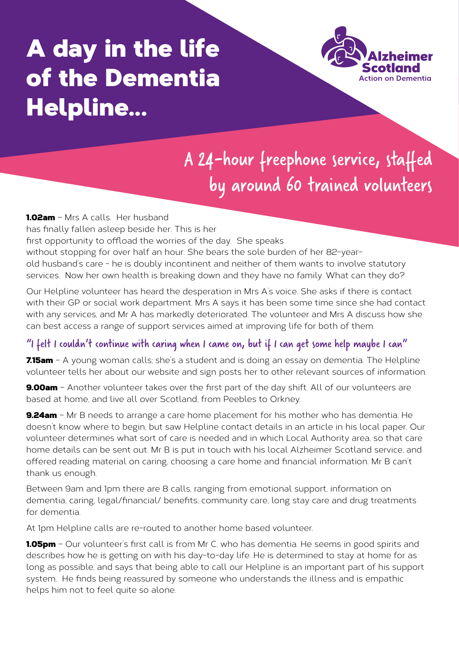# A day in the life of the Dementia Helpline...



# A 24-hour freephone service, staffed by around 60 trained volunteers

1.02am - Mrs A calls. Her husband has finally fallen asleep beside her. This is her first opportunity to offload the worries of the day. She speaks without stopping for over half an hour. She bears the sole burden of her 82-yearold husband's care - he is doubly incontinent and neither of them wants to involve statutory services. Now her own health is breaking down and they have no family. What can they do?

Our Helpline volunteer has heard the desperation in Mrs A's voice. She asks if there is contact with their GP or social work department. Mrs A says it has been some time since she had contact with any services, and Mr A has markedly deteriorated. The volunteer and Mrs A discuss how she can best access a range of support services aimed at improving life for both of them.

# "I felt I couldn't continue with caring when I came on, but if I can get some help maybe I can"

7.15am - A young woman calls; she's a student and is doing an essay on dementia. The Helpline volunteer tells her about our website and sign posts her to other relevant sources of information.

9.00am - Another volunteer takes over the first part of the day shift. All of our volunteers are based at home, and live all over Scotland, from Peebles to Orkney.

**9.24am** - Mr B needs to arrange a care home placement for his mother who has dementia. He doesn't know where to begin, but saw Helpline contact details in an article in his local paper. Our volunteer determines what sort of care is needed and in which Local Authority area, so that care home details can be sent out. Mr B is put in touch with his local Alzheimer Scotland service, and offered reading material on caring, choosing a care home and financial information. Mr B can't thank us enough.

Between 9am and 1pm there are 8 calls, ranging from emotional support, information on dementia, caring, legal/financial/ benefits, community care, long stay care and drug treatments for dementia.

At 1pm Helpline calls are re-routed to another home based volunteer.

**1.05pm** - Our volunteer's first call is from Mr C, who has dementia. He seems in good spirits and describes how he is getting on with his day-to-day life. He is determined to stay at home for as long as possible, and says that being able to call our Helpline is an important part of his support system. He finds being reassured by someone who understands the illness and is empathic helps him not to feel quite so alone.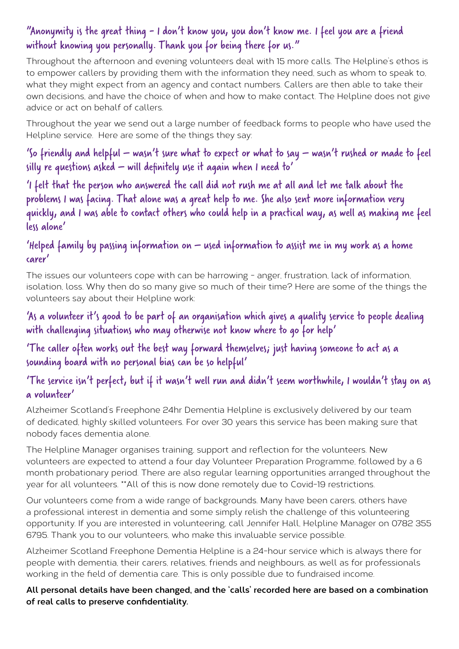# "Anonymity is the great thing - I don't know you, you don't know me. I feel you are a friend without knowing you personally. Thank you for being there for us."

Throughout the afternoon and evening volunteers deal with 15 more calls. The Helpline's ethos is to empower callers by providing them with the information they need, such as whom to speak to, what they might expect from an agency and contact numbers. Callers are then able to take their own decisions, and have the choice of when and how to make contact. The Helpline does not give advice or act on behalf of callers.

Throughout the year we send out a large number of feedback forms to people who have used the Helpline service. Here are some of the things they say:

'So friendly and helpful – wasn't sure what to expect or what to say – wasn't rushed or made to feel silly re questions asked – will definitely use it again when I need to'

'I felt that the person who answered the call did not rush me at all and let me talk about the problems I was facing. That alone was a great help to me. She also sent more information very quickly, and I was able to contact others who could help in a practical way, as well as making me feel less alone'

# 'Helped family by passing information on – used information to assist me in my work as a home carer'

The issues our volunteers cope with can be harrowing - anger, frustration, lack of information, isolation, loss. Why then do so many give so much of their time? Here are some of the things the volunteers say about their Helpline work:

# 'As a volunteer it's good to be part of an organisation which gives a quality service to people dealing with challenging situations who may otherwise not know where to go for help'

'The caller often works out the best way forward themselves; just having someone to act as a sounding board with no personal bias can be so helpful'

# 'The service isn't perfect, but if it wasn't well run and didn't seem worthwhile, I wouldn't stay on as a volunteer'

Alzheimer Scotland's Freephone 24hr Dementia Helpline is exclusively delivered by our team of dedicated, highly skilled volunteers. For over 30 years this service has been making sure that nobody faces dementia alone.

The Helpline Manager organises training, support and reflection for the volunteers. New volunteers are expected to attend a four day Volunteer Preparation Programme, followed by a 6 month probationary period. There are also regular learning opportunities arranged throughout the year for all volunteers. \*\*All of this is now done remotely due to Covid-19 restrictions.

Our volunteers come from a wide range of backgrounds. Many have been carers, others have a professional interest in dementia and some simply relish the challenge of this volunteering opportunity. If you are interested in volunteering, call Jennifer Hall, Helpline Manager on 0782 355 6795. Thank you to our volunteers, who make this invaluable service possible.

Alzheimer Scotland Freephone Dementia Helpline is a 24-hour service which is always there for people with dementia, their carers, relatives, friends and neighbours, as well as for professionals working in the field of dementia care. This is only possible due to fundraised income.

**All personal details have been changed, and the 'calls' recorded here are based on a combination of real calls to preserve confidentiality.**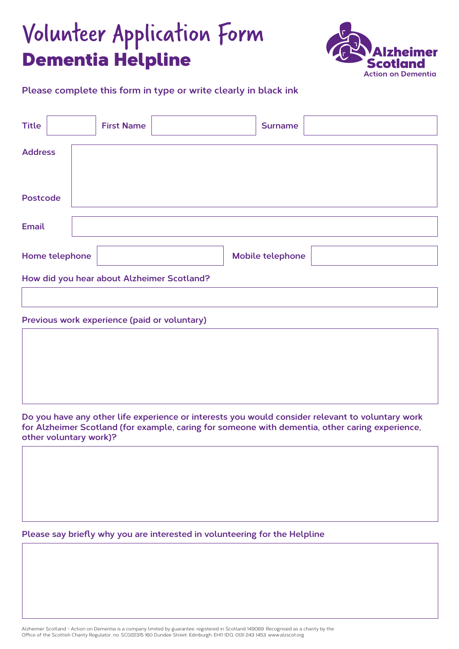# Volunteer Application Form Dementia Helpline



#### **Please complete this form in type or write clearly in black ink**

| <b>Title</b>    |                | <b>First Name</b> |                                            | <b>Surname</b>          |  |
|-----------------|----------------|-------------------|--------------------------------------------|-------------------------|--|
| <b>Address</b>  |                |                   |                                            |                         |  |
| <b>Postcode</b> |                |                   |                                            |                         |  |
| <b>Email</b>    |                |                   |                                            |                         |  |
|                 | Home telephone |                   |                                            | <b>Mobile telephone</b> |  |
|                 |                |                   | How did you hear about Alzheimer Scotland? |                         |  |

#### **Previous work experience (paid or voluntary)**

#### **Do you have any other life experience or interests you would consider relevant to voluntary work for Alzheimer Scotland (for example, caring for someone with dementia, other caring experience, other voluntary work)?**

**Please say briefly why you are interested in volunteering for the Helpline**

Alzheimer Scotland - Action on Dementia is a company limited by guarantee, registered in Scotland 149069. Recognised as a charity by the Office of the Scottish Charity Regulator, no. SC022315 160 Dundee Street, Edinburgh, EH11 1DQ, 0131 243 1453, www.alzscot.org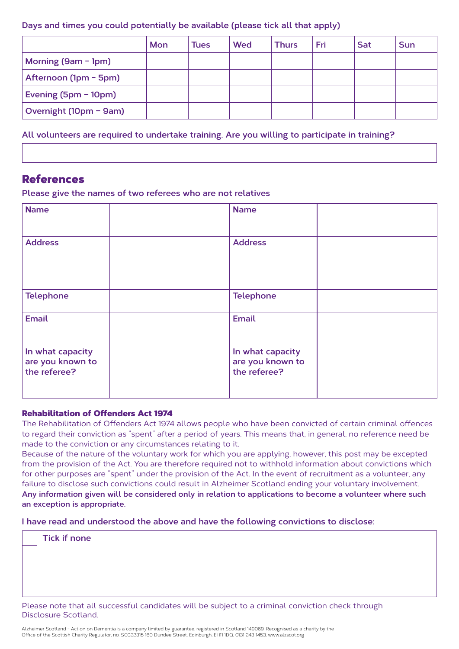#### **Days and times you could potentially be available (please tick all that apply)**

|                        | <b>Mon</b> | <b>Tues</b> | <b>Wed</b> | <b>Thurs</b> | Fri | <b>Sat</b> | <b>Sun</b> |
|------------------------|------------|-------------|------------|--------------|-----|------------|------------|
| Morning (9am - 1pm)    |            |             |            |              |     |            |            |
| Afternoon (1pm - 5pm)  |            |             |            |              |     |            |            |
| Evening (5pm - 10pm)   |            |             |            |              |     |            |            |
| Overnight (10pm - 9am) |            |             |            |              |     |            |            |

**All volunteers are required to undertake training. Are you willing to participate in training?**

### References

**Please give the names of two referees who are not relatives**

| <b>Name</b>                          | <b>Name</b>                          |  |
|--------------------------------------|--------------------------------------|--|
|                                      |                                      |  |
| <b>Address</b>                       | <b>Address</b>                       |  |
|                                      |                                      |  |
|                                      |                                      |  |
| <b>Telephone</b>                     | <b>Telephone</b>                     |  |
| <b>Email</b>                         | <b>Email</b>                         |  |
|                                      |                                      |  |
| In what capacity<br>are you known to | In what capacity<br>are you known to |  |
| the referee?                         | the referee?                         |  |
|                                      |                                      |  |

#### Rehabilitation of Offenders Act 1974

The Rehabilitation of Offenders Act 1974 allows people who have been convicted of certain criminal offences to regard their conviction as "spent" after a period of years. This means that, in general, no reference need be made to the conviction or any circumstances relating to it.

Because of the nature of the voluntary work for which you are applying, however, this post may be excepted from the provision of the Act. You are therefore required not to withhold information about convictions which for other purposes are "spent" under the provision of the Act. In the event of recruitment as a volunteer, any failure to disclose such convictions could result in Alzheimer Scotland ending your voluntary involvement. **Any information given will be considered only in relation to applications to become a volunteer where such an exception is appropriate.**

**I have read and understood the above and have the following convictions to disclose:**

**Tick if none**

Please note that all successful candidates will be subject to a criminal conviction check through Disclosure Scotland.